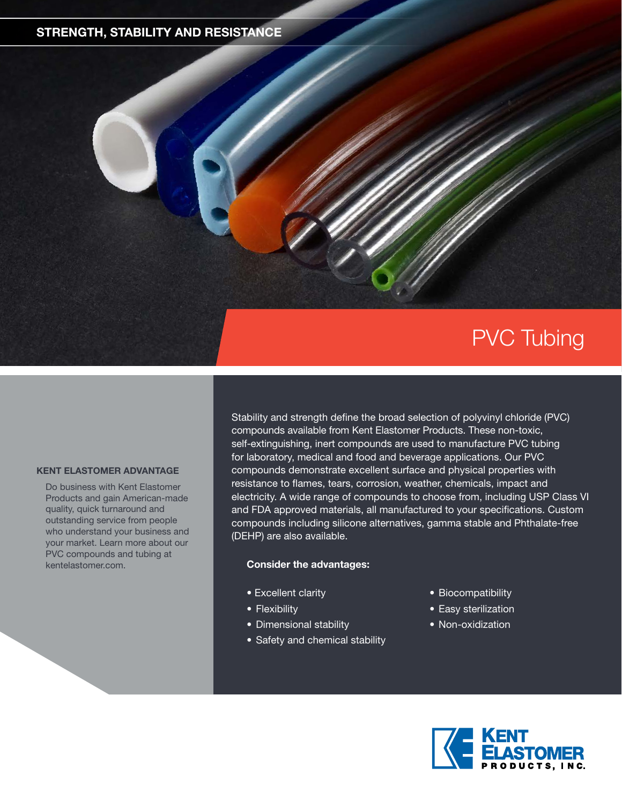## **STRENGTH, STABILITY AND RESISTANCE**

# PVC Tubing

#### **KENT ELASTOMER ADVANTAGE**

Do business with Kent Elastomer Products and gain American-made quality, quick turnaround and outstanding service from people who understand your business and your market. Learn more about our PVC compounds and tubing at kentelastomer.com.

Stability and strength define the broad selection of polyvinyl chloride (PVC) compounds available from Kent Elastomer Products. These non-toxic, self-extinguishing, inert compounds are used to manufacture PVC tubing for laboratory, medical and food and beverage applications. Our PVC compounds demonstrate excellent surface and physical properties with resistance to flames, tears, corrosion, weather, chemicals, impact and electricity. A wide range of compounds to choose from, including USP Class VI and FDA approved materials, all manufactured to your specifications. Custom compounds including silicone alternatives, gamma stable and Phthalate-free (DEHP) are also available.

### **Consider the advantages:**

- Excellent clarity
- Flexibility
- Dimensional stability
- Safety and chemical stability
- Biocompatibility
- Easy sterilization
- Non-oxidization